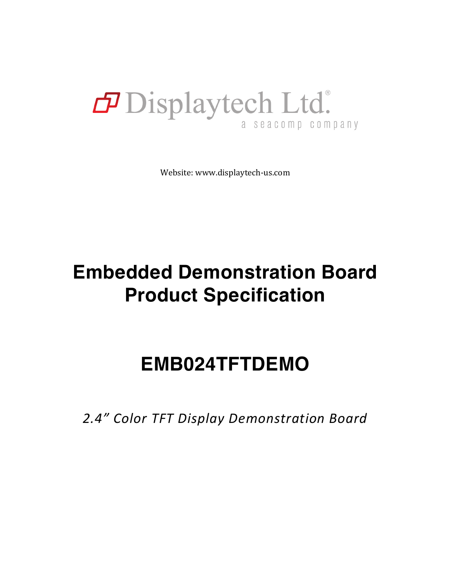### Displaytech Ltd. a seacomp company

Website: www.displaytech-us.com

# **Embedded Demonstration Board Product Specification**

## **EMB024TFTDEMO**

*2.4" Color TFT Display Demonstration Board*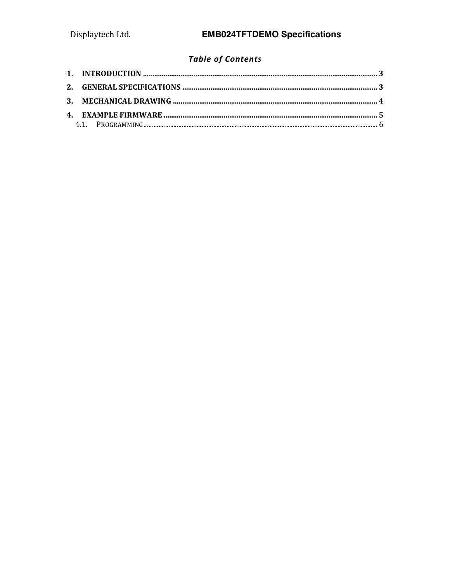### **Table of Contents**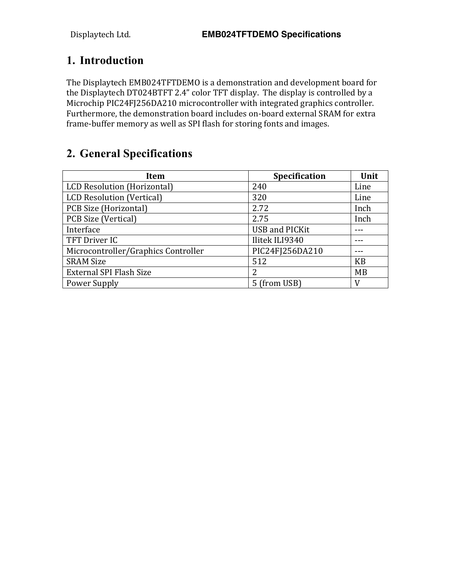#### **1. Introduction**

The Displaytech EMB024TFTDEMO is a demonstration and development board for the Displaytech DT024BTFT 2.4" color TFT display. The display is controlled by a Microchip PIC24FJ256DA210 microcontroller with integrated graphics controller. Furthermore, the demonstration board includes on-board external SRAM for extra frame-buffer memory as well as SPI flash for storing fonts and images.

#### **2. General Specifications**

| <b>Item</b>                         | Specification         | Unit |
|-------------------------------------|-----------------------|------|
| LCD Resolution (Horizontal)         | 240                   | Line |
| <b>LCD Resolution (Vertical)</b>    | 320                   | Line |
| PCB Size (Horizontal)               | 2.72                  | Inch |
| <b>PCB Size (Vertical)</b>          | 2.75                  | Inch |
| Interface                           | <b>USB and PICKit</b> |      |
| TFT Driver IC                       | Ilitek ILI9340        |      |
| Microcontroller/Graphics Controller | PIC24FJ256DA210       |      |
| <b>SRAM Size</b>                    | 512                   | KB   |
| <b>External SPI Flash Size</b>      | 2                     | MB   |
| Power Supply                        | 5 (from USB)          | V    |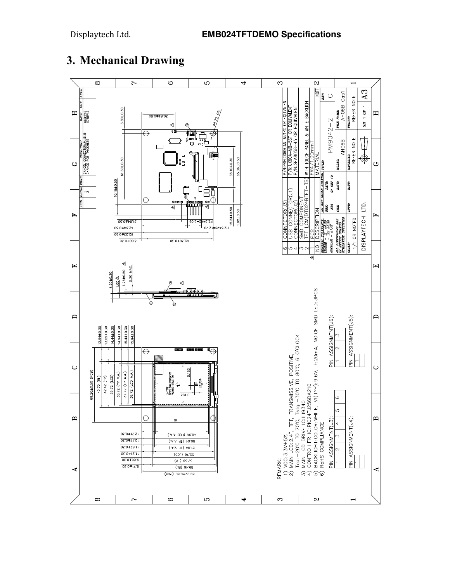

#### **3. Mechanical Drawing**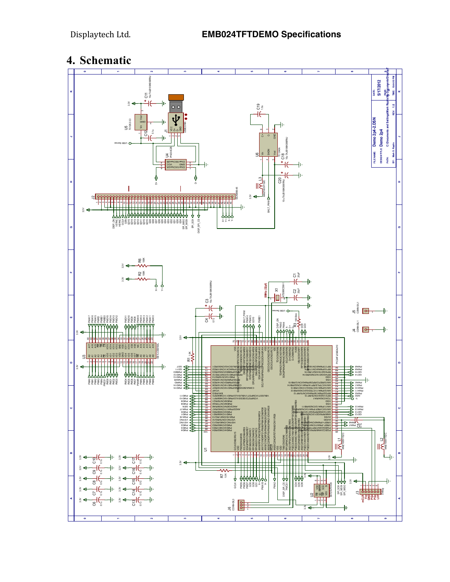#### **4. Schematic**